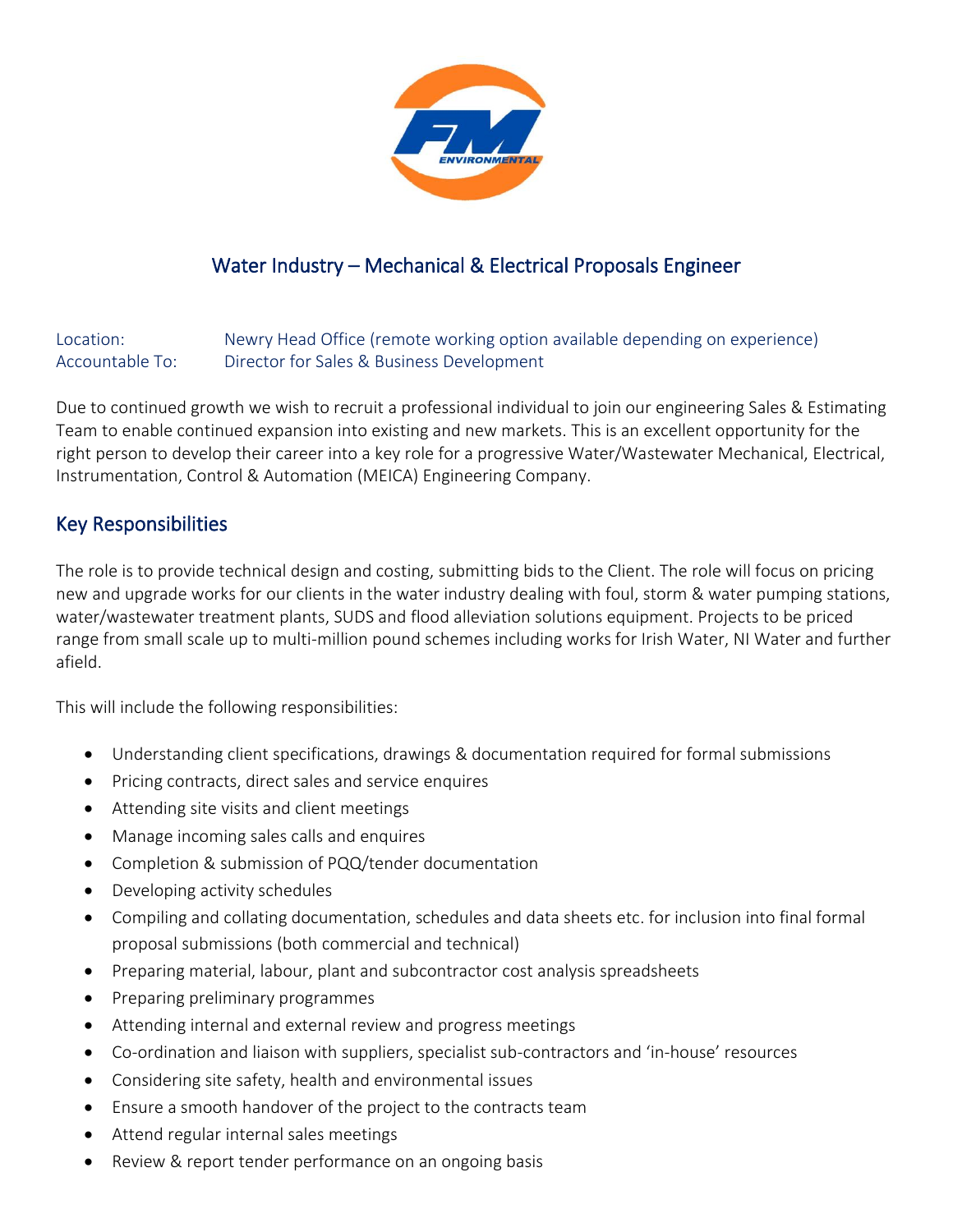

## Water Industry – Mechanical & Electrical Proposals Engineer

Location: Newry Head Office (remote working option available depending on experience) Accountable To: Director for Sales & Business Development

Due to continued growth we wish to recruit a professional individual to join our engineering Sales & Estimating Team to enable continued expansion into existing and new markets. This is an excellent opportunity for the right person to develop their career into a key role for a progressive Water/Wastewater Mechanical, Electrical, Instrumentation, Control & Automation (MEICA) Engineering Company.

## Key Responsibilities

The role is to provide technical design and costing, submitting bids to the Client. The role will focus on pricing new and upgrade works for our clients in the water industry dealing with foul, storm & water pumping stations, water/wastewater treatment plants, SUDS and flood alleviation solutions equipment. Projects to be priced range from small scale up to multi-million pound schemes including works for Irish Water, NI Water and further afield.

This will include the following responsibilities:

- Understanding client specifications, drawings & documentation required for formal submissions
- Pricing contracts, direct sales and service enquires
- Attending site visits and client meetings
- Manage incoming sales calls and enquires
- Completion & submission of PQQ/tender documentation
- Developing activity schedules
- Compiling and collating documentation, schedules and data sheets etc. for inclusion into final formal proposal submissions (both commercial and technical)
- Preparing material, labour, plant and subcontractor cost analysis spreadsheets
- Preparing preliminary programmes
- Attending internal and external review and progress meetings
- Co-ordination and liaison with suppliers, specialist sub-contractors and 'in-house' resources
- Considering site safety, health and environmental issues
- Ensure a smooth handover of the project to the contracts team
- Attend regular internal sales meetings
- Review & report tender performance on an ongoing basis